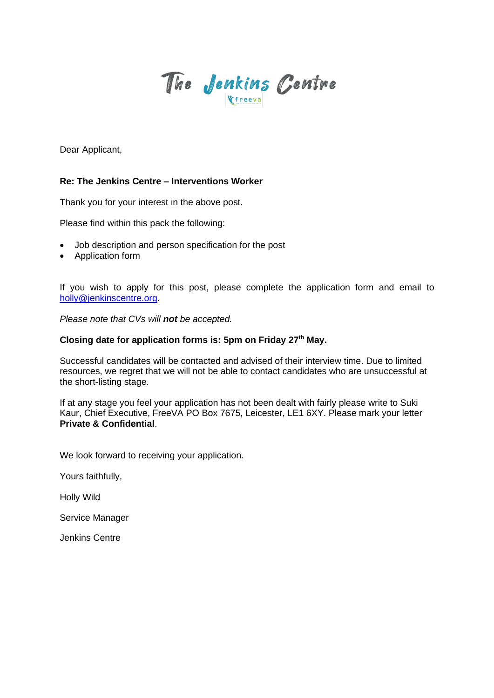

Dear Applicant,

### **Re: The Jenkins Centre – Interventions Worker**

Thank you for your interest in the above post.

Please find within this pack the following:

- Job description and person specification for the post
- Application form

If you wish to apply for this post, please complete the application form and email to [holly@jenkinscentre.org.](about:blank)

*Please note that CVs will not be accepted.*

## **Closing date for application forms is: 5pm on Friday 27th May.**

Successful candidates will be contacted and advised of their interview time. Due to limited resources, we regret that we will not be able to contact candidates who are unsuccessful at the short-listing stage.

If at any stage you feel your application has not been dealt with fairly please write to Suki Kaur, Chief Executive, FreeVA PO Box 7675, Leicester, LE1 6XY. Please mark your letter **Private & Confidential**.

We look forward to receiving your application.

Yours faithfully,

Holly Wild

Service Manager

Jenkins Centre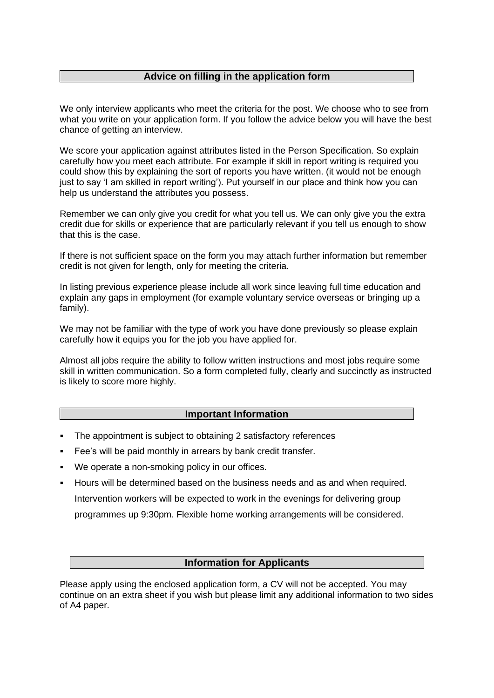## **Advice on filling in the application form**

We only interview applicants who meet the criteria for the post. We choose who to see from what you write on your application form. If you follow the advice below you will have the best chance of getting an interview.

We score your application against attributes listed in the Person Specification. So explain carefully how you meet each attribute. For example if skill in report writing is required you could show this by explaining the sort of reports you have written. (it would not be enough just to say 'I am skilled in report writing'). Put yourself in our place and think how you can help us understand the attributes you possess.

Remember we can only give you credit for what you tell us. We can only give you the extra credit due for skills or experience that are particularly relevant if you tell us enough to show that this is the case.

If there is not sufficient space on the form you may attach further information but remember credit is not given for length, only for meeting the criteria.

In listing previous experience please include all work since leaving full time education and explain any gaps in employment (for example voluntary service overseas or bringing up a family).

We may not be familiar with the type of work you have done previously so please explain carefully how it equips you for the job you have applied for.

Almost all jobs require the ability to follow written instructions and most jobs require some skill in written communication. So a form completed fully, clearly and succinctly as instructed is likely to score more highly.

### **Important Information**

- The appointment is subject to obtaining 2 satisfactory references
- Fee's will be paid monthly in arrears by bank credit transfer.
- We operate a non-smoking policy in our offices.
- Hours will be determined based on the business needs and as and when required. Intervention workers will be expected to work in the evenings for delivering group programmes up 9:30pm. Flexible home working arrangements will be considered.

## **Information for Applicants**

Please apply using the enclosed application form, a CV will not be accepted. You may continue on an extra sheet if you wish but please limit any additional information to two sides of A4 paper.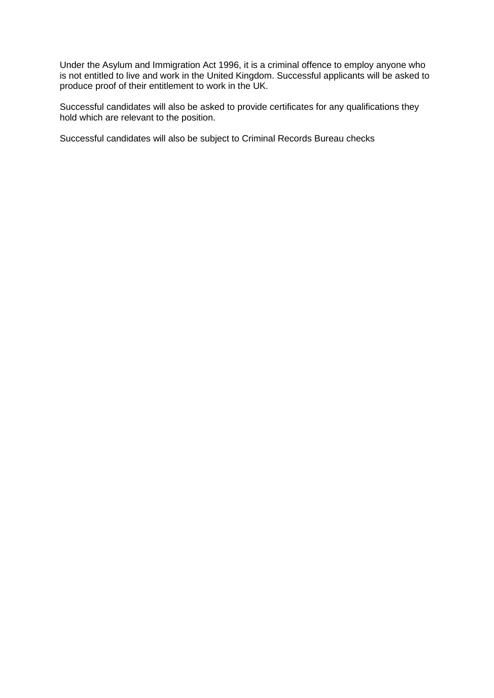Under the Asylum and Immigration Act 1996, it is a criminal offence to employ anyone who is not entitled to live and work in the United Kingdom. Successful applicants will be asked to produce proof of their entitlement to work in the UK.

Successful candidates will also be asked to provide certificates for any qualifications they hold which are relevant to the position.

Successful candidates will also be subject to Criminal Records Bureau checks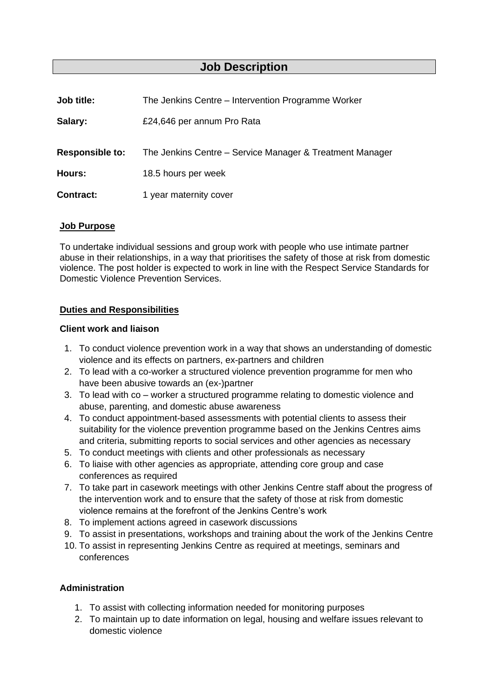## **Job Description**

| Job title:             | The Jenkins Centre – Intervention Programme Worker       |
|------------------------|----------------------------------------------------------|
| Salary:                | £24,646 per annum Pro Rata                               |
| <b>Responsible to:</b> | The Jenkins Centre – Service Manager & Treatment Manager |
| <b>Hours:</b>          | 18.5 hours per week                                      |
| <b>Contract:</b>       | 1 year maternity cover                                   |

### **Job Purpose**

To undertake individual sessions and group work with people who use intimate partner abuse in their relationships, in a way that prioritises the safety of those at risk from domestic violence. The post holder is expected to work in line with the Respect Service Standards for Domestic Violence Prevention Services.

## **Duties and Responsibilities**

#### **Client work and liaison**

- 1. To conduct violence prevention work in a way that shows an understanding of domestic violence and its effects on partners, ex-partners and children
- 2. To lead with a co-worker a structured violence prevention programme for men who have been abusive towards an (ex-)partner
- 3. To lead with co worker a structured programme relating to domestic violence and abuse, parenting, and domestic abuse awareness
- 4. To conduct appointment-based assessments with potential clients to assess their suitability for the violence prevention programme based on the Jenkins Centres aims and criteria, submitting reports to social services and other agencies as necessary
- 5. To conduct meetings with clients and other professionals as necessary
- 6. To liaise with other agencies as appropriate, attending core group and case conferences as required
- 7. To take part in casework meetings with other Jenkins Centre staff about the progress of the intervention work and to ensure that the safety of those at risk from domestic violence remains at the forefront of the Jenkins Centre's work
- 8. To implement actions agreed in casework discussions
- 9. To assist in presentations, workshops and training about the work of the Jenkins Centre
- 10. To assist in representing Jenkins Centre as required at meetings, seminars and conferences

#### **Administration**

- 1. To assist with collecting information needed for monitoring purposes
- 2. To maintain up to date information on legal, housing and welfare issues relevant to domestic violence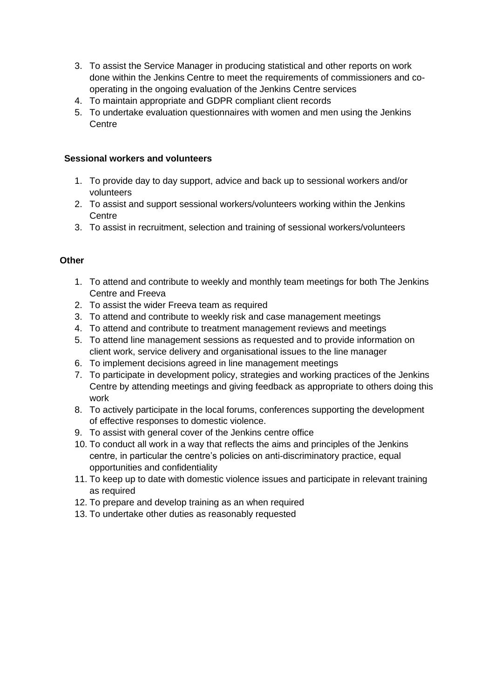- 3. To assist the Service Manager in producing statistical and other reports on work done within the Jenkins Centre to meet the requirements of commissioners and cooperating in the ongoing evaluation of the Jenkins Centre services
- 4. To maintain appropriate and GDPR compliant client records
- 5. To undertake evaluation questionnaires with women and men using the Jenkins **Centre**

## **Sessional workers and volunteers**

- 1. To provide day to day support, advice and back up to sessional workers and/or volunteers
- 2. To assist and support sessional workers/volunteers working within the Jenkins Centre
- 3. To assist in recruitment, selection and training of sessional workers/volunteers

## **Other**

- 1. To attend and contribute to weekly and monthly team meetings for both The Jenkins Centre and Freeva
- 2. To assist the wider Freeva team as required
- 3. To attend and contribute to weekly risk and case management meetings
- 4. To attend and contribute to treatment management reviews and meetings
- 5. To attend line management sessions as requested and to provide information on client work, service delivery and organisational issues to the line manager
- 6. To implement decisions agreed in line management meetings
- 7. To participate in development policy, strategies and working practices of the Jenkins Centre by attending meetings and giving feedback as appropriate to others doing this work
- 8. To actively participate in the local forums, conferences supporting the development of effective responses to domestic violence.
- 9. To assist with general cover of the Jenkins centre office
- 10. To conduct all work in a way that reflects the aims and principles of the Jenkins centre, in particular the centre's policies on anti-discriminatory practice, equal opportunities and confidentiality
- 11. To keep up to date with domestic violence issues and participate in relevant training as required
- 12. To prepare and develop training as an when required
- 13. To undertake other duties as reasonably requested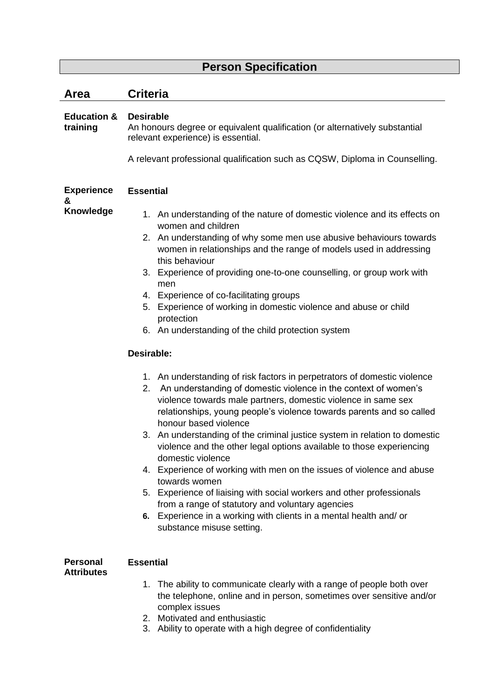## **Person Specification**

| Area                                 | <b>Criteria</b>                                                                                                                                                                                                                                                                                                                                                                                                                                                                                                                                                                                                                                                                                                                                                                                                                                                                                                                                                                                                                                                                                                                                                                                                                                                                                                                                                                     |  |  |  |
|--------------------------------------|-------------------------------------------------------------------------------------------------------------------------------------------------------------------------------------------------------------------------------------------------------------------------------------------------------------------------------------------------------------------------------------------------------------------------------------------------------------------------------------------------------------------------------------------------------------------------------------------------------------------------------------------------------------------------------------------------------------------------------------------------------------------------------------------------------------------------------------------------------------------------------------------------------------------------------------------------------------------------------------------------------------------------------------------------------------------------------------------------------------------------------------------------------------------------------------------------------------------------------------------------------------------------------------------------------------------------------------------------------------------------------------|--|--|--|
| <b>Education &amp;</b><br>training   | <b>Desirable</b><br>An honours degree or equivalent qualification (or alternatively substantial<br>relevant experience) is essential.<br>A relevant professional qualification such as CQSW, Diploma in Counselling.                                                                                                                                                                                                                                                                                                                                                                                                                                                                                                                                                                                                                                                                                                                                                                                                                                                                                                                                                                                                                                                                                                                                                                |  |  |  |
| <b>Experience</b><br>&               | <b>Essential</b>                                                                                                                                                                                                                                                                                                                                                                                                                                                                                                                                                                                                                                                                                                                                                                                                                                                                                                                                                                                                                                                                                                                                                                                                                                                                                                                                                                    |  |  |  |
| Knowledge                            | 1. An understanding of the nature of domestic violence and its effects on<br>women and children<br>2. An understanding of why some men use abusive behaviours towards<br>women in relationships and the range of models used in addressing<br>this behaviour<br>3. Experience of providing one-to-one counselling, or group work with<br>men<br>4. Experience of co-facilitating groups<br>5. Experience of working in domestic violence and abuse or child<br>protection<br>6. An understanding of the child protection system<br><b>Desirable:</b><br>1. An understanding of risk factors in perpetrators of domestic violence<br>An understanding of domestic violence in the context of women's<br>2.<br>violence towards male partners, domestic violence in same sex<br>relationships, young people's violence towards parents and so called<br>honour based violence<br>An understanding of the criminal justice system in relation to domestic<br>3.<br>violence and the other legal options available to those experiencing<br>domestic violence<br>4. Experience of working with men on the issues of violence and abuse<br>towards women<br>5. Experience of liaising with social workers and other professionals<br>from a range of statutory and voluntary agencies<br>6. Experience in a working with clients in a mental health and/ or<br>substance misuse setting. |  |  |  |
| <b>Personal</b><br><b>Attributes</b> | <b>Essential</b>                                                                                                                                                                                                                                                                                                                                                                                                                                                                                                                                                                                                                                                                                                                                                                                                                                                                                                                                                                                                                                                                                                                                                                                                                                                                                                                                                                    |  |  |  |
|                                      | 1. The ability to communicate clearly with a range of people both over<br>the telephone, online and in person, sometimes over sensitive and/or<br>complex issues<br>2. Motivated and enthusiastic<br>າ<br>Ability to operate with a bigh degree of confidentiality                                                                                                                                                                                                                                                                                                                                                                                                                                                                                                                                                                                                                                                                                                                                                                                                                                                                                                                                                                                                                                                                                                                  |  |  |  |

3. Ability to operate with a high degree of confidentiality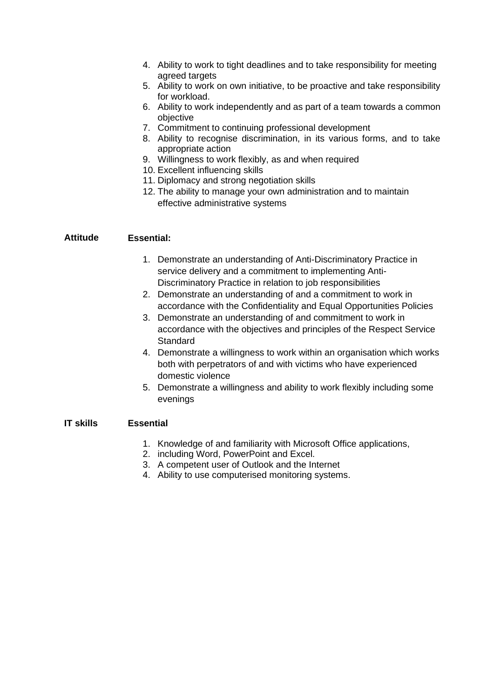- 4. Ability to work to tight deadlines and to take responsibility for meeting agreed targets
- 5. Ability to work on own initiative, to be proactive and take responsibility for workload.
- 6. Ability to work independently and as part of a team towards a common objective
- 7. Commitment to continuing professional development
- 8. Ability to recognise discrimination, in its various forms, and to take appropriate action
- 9. Willingness to work flexibly, as and when required
- 10. Excellent influencing skills
- 11. Diplomacy and strong negotiation skills
- 12. The ability to manage your own administration and to maintain effective administrative systems

### **Attitude Essential:**

- 1. Demonstrate an understanding of Anti-Discriminatory Practice in service delivery and a commitment to implementing Anti-Discriminatory Practice in relation to job responsibilities
- 2. Demonstrate an understanding of and a commitment to work in accordance with the Confidentiality and Equal Opportunities Policies
- 3. Demonstrate an understanding of and commitment to work in accordance with the objectives and principles of the Respect Service **Standard**
- 4. Demonstrate a willingness to work within an organisation which works both with perpetrators of and with victims who have experienced domestic violence
- 5. Demonstrate a willingness and ability to work flexibly including some evenings

#### **IT skills Essential**

- 1. Knowledge of and familiarity with Microsoft Office applications,
- 2. including Word, PowerPoint and Excel.
- 3. A competent user of Outlook and the Internet
- 4. Ability to use computerised monitoring systems.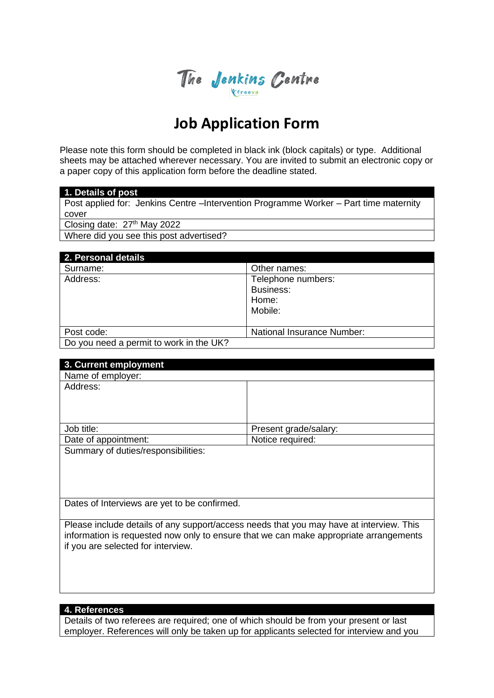

# **Job Application Form**

Please note this form should be completed in black ink (block capitals) or type. Additional sheets may be attached wherever necessary. You are invited to submit an electronic copy or a paper copy of this application form before the deadline stated.

#### **1. Details of post**

Post applied for: Jenkins Centre –Intervention Programme Worker – Part time maternity cover

Closing date: 27<sup>th</sup> May 2022

Where did you see this post advertised?

| 2. Personal details                     |                            |
|-----------------------------------------|----------------------------|
| Surname:                                | Other names:               |
| Address:                                | Telephone numbers:         |
|                                         | Business:                  |
|                                         | Home:                      |
|                                         | Mobile:                    |
|                                         |                            |
| Post code:                              | National Insurance Number: |
| Do you need a permit to work in the UK? |                            |

| 3. Current employment               |                       |
|-------------------------------------|-----------------------|
| Name of employer:                   |                       |
| Address:                            |                       |
|                                     |                       |
|                                     |                       |
|                                     |                       |
| Job title:                          | Present grade/salary: |
| Date of appointment:                | Notice required:      |
| Summary of duties/responsibilities: |                       |

Dates of Interviews are yet to be confirmed.

Please include details of any support/access needs that you may have at interview. This information is requested now only to ensure that we can make appropriate arrangements if you are selected for interview.

**4. References**

Details of two referees are required; one of which should be from your present or last employer. References will only be taken up for applicants selected for interview and you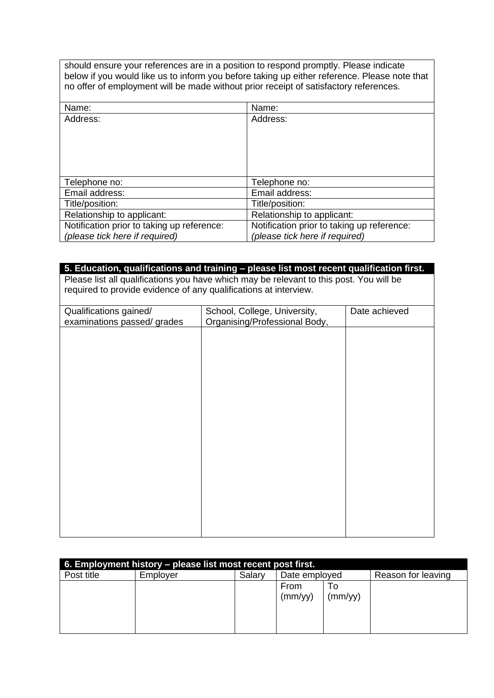should ensure your references are in a position to respond promptly. Please indicate below if you would like us to inform you before taking up either reference. Please note that no offer of employment will be made without prior receipt of satisfactory references.

| Name:                                      |
|--------------------------------------------|
| Address:                                   |
|                                            |
|                                            |
|                                            |
|                                            |
|                                            |
| Telephone no:                              |
| Email address:                             |
| Title/position:                            |
| Relationship to applicant:                 |
| Notification prior to taking up reference: |
| (please tick here if required)             |
|                                            |

| 5. Education, qualifications and training - please list most recent qualification first. |                                                                                         |               |  |
|------------------------------------------------------------------------------------------|-----------------------------------------------------------------------------------------|---------------|--|
|                                                                                          | Please list all qualifications you have which may be relevant to this post. You will be |               |  |
| required to provide evidence of any qualifications at interview.                         |                                                                                         |               |  |
|                                                                                          |                                                                                         |               |  |
| Qualifications gained/                                                                   | School, College, University,                                                            | Date achieved |  |
| examinations passed/ grades                                                              | Organising/Professional Body,                                                           |               |  |
|                                                                                          |                                                                                         |               |  |
|                                                                                          |                                                                                         |               |  |
|                                                                                          |                                                                                         |               |  |
|                                                                                          |                                                                                         |               |  |
|                                                                                          |                                                                                         |               |  |
|                                                                                          |                                                                                         |               |  |
|                                                                                          |                                                                                         |               |  |
|                                                                                          |                                                                                         |               |  |
|                                                                                          |                                                                                         |               |  |
|                                                                                          |                                                                                         |               |  |
|                                                                                          |                                                                                         |               |  |
|                                                                                          |                                                                                         |               |  |
|                                                                                          |                                                                                         |               |  |
|                                                                                          |                                                                                         |               |  |
|                                                                                          |                                                                                         |               |  |
|                                                                                          |                                                                                         |               |  |
|                                                                                          |                                                                                         |               |  |
|                                                                                          |                                                                                         |               |  |
|                                                                                          |                                                                                         |               |  |
|                                                                                          |                                                                                         |               |  |
|                                                                                          |                                                                                         |               |  |
|                                                                                          |                                                                                         |               |  |

| 6. Employment history – please list most recent post first. |          |        |               |         |                    |
|-------------------------------------------------------------|----------|--------|---------------|---------|--------------------|
| Post title                                                  | Employer | Salary | Date employed |         | Reason for leaving |
|                                                             |          |        | From          | To      |                    |
|                                                             |          |        | (mm/yy)       | (mm/yy) |                    |
|                                                             |          |        |               |         |                    |
|                                                             |          |        |               |         |                    |
|                                                             |          |        |               |         |                    |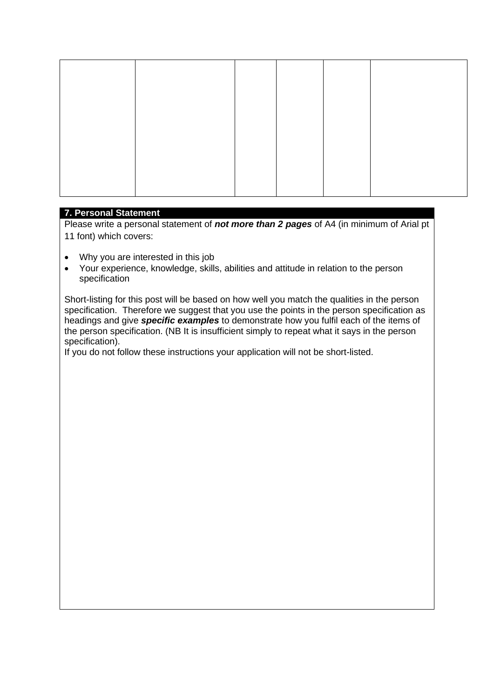## **7. Personal Statement**

Please write a personal statement of *not more than 2 pages* of A4 (in minimum of Arial pt 11 font) which covers:

- Why you are interested in this job
- Your experience, knowledge, skills, abilities and attitude in relation to the person specification

Short-listing for this post will be based on how well you match the qualities in the person specification. Therefore we suggest that you use the points in the person specification as headings and give *specific examples* to demonstrate how you fulfil each of the items of the person specification. (NB It is insufficient simply to repeat what it says in the person specification).

If you do not follow these instructions your application will not be short-listed.